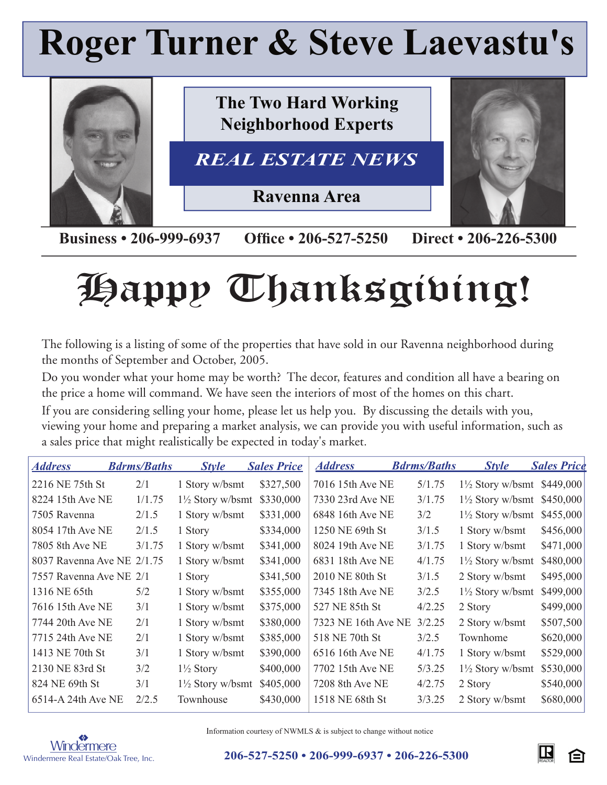## **Roger Turner & Steve Laevastu's**



**Business • 206-999-6937 Office • 206-527-5250 Direct • 206-226-5300** 

# Happy Thanksgiving!

The following is a listing of some of the properties that have sold in our Ravenna neighborhood during the months of September and October, 2005.

Do you wonder what your home may be worth? The decor, features and condition all have a bearing on the price a home will command. We have seen the interiors of most of the homes on this chart.

If you are considering selling your home, please let us help you. By discussing the details with you, viewing your home and preparing a market analysis, we can provide you with useful information, such as a sales price that might realistically be expected in today's market.

| <u>Address</u>             | <b>Bdrms/Baths</b> | <b>Style</b>                | <b>Sales Price</b> | <b>Address</b>      | <b>Bdrms/Baths</b> | <b>Style</b>                          | <b>Sales Price</b> |
|----------------------------|--------------------|-----------------------------|--------------------|---------------------|--------------------|---------------------------------------|--------------------|
| 2216 NE 75th St            | 2/1                | 1 Story w/bsmt              | \$327,500          | 7016 15th Ave NE    | 5/1.75             | $1\frac{1}{2}$ Story w/bsmt \$449,000 |                    |
| 8224 15th Ave NE           | 1/1.75             | $1\frac{1}{2}$ Story w/bsmt | \$330,000          | 7330 23rd Ave NE    | 3/1.75             | $1\frac{1}{2}$ Story w/bsmt           | \$450,000          |
| 7505 Ravenna               | 2/1.5              | 1 Story w/bsmt              | \$331,000          | 6848 16th Ave NE    | 3/2                | $1\frac{1}{2}$ Story w/bsmt           | \$455,000          |
| 8054 17th Ave NE           | 2/1.5              | 1 Story                     | \$334,000          | 1250 NE 69th St     | 3/1.5              | 1 Story w/bsmt                        | \$456,000          |
| 7805 8th Ave NE            | 3/1.75             | 1 Story w/bsmt              | \$341,000          | 8024 19th Ave NE    | 3/1.75             | 1 Story w/bsmt                        | \$471,000          |
| 8037 Ravenna Ave NE 2/1.75 |                    | 1 Story w/bsmt              | \$341,000          | 6831 18th Ave NE    | 4/1.75             | $1\frac{1}{2}$ Story w/bsmt           | \$480,000          |
| 7557 Ravenna Ave NE 2/1    |                    | 1 Story                     | \$341,500          | 2010 NE 80th St     | 3/1.5              | 2 Story w/bsmt                        | \$495,000          |
| 1316 NE 65th               | 5/2                | 1 Story w/bsmt              | \$355,000          | 7345 18th Ave NE    | 3/2.5              | $1\frac{1}{2}$ Story w/bsmt           | \$499,000          |
| 7616 15th Ave NE           | 3/1                | 1 Story w/bsmt              | \$375,000          | 527 NE 85th St      | 4/2.25             | 2 Story                               | \$499,000          |
| 7744 20th Ave NE           | 2/1                | 1 Story w/bsmt              | \$380,000          | 7323 NE 16th Ave NE | 3/2.25             | 2 Story w/bsmt                        | \$507,500          |
| 7715 24th Ave NE           | 2/1                | 1 Story w/bsmt              | \$385,000          | 518 NE 70th St      | 3/2.5              | Townhome                              | \$620,000          |
| 1413 NE 70th St            | 3/1                | 1 Story w/bsmt              | \$390,000          | 6516 16th Ave NE    | 4/1.75             | 1 Story w/bsmt                        | \$529,000          |
| 2130 NE 83rd St            | 3/2                | $1\frac{1}{2}$ Story        | \$400,000          | 7702 15th Ave NE    | 5/3.25             | $1\frac{1}{2}$ Story w/bsmt           | \$530,000          |
| 824 NE 69th St             | 3/1                | $1\frac{1}{2}$ Story w/bsmt | \$405,000          | 7208 8th Ave NE     | 4/2.75             | 2 Story                               | \$540,000          |
| 6514-A 24th Ave NE         | 2/2.5              | Townhouse                   | \$430,000          | 1518 NE 68th St     | 3/3.25             | 2 Story w/bsmt                        | \$680,000          |



Information courtesy of NWMLS & is subject to change without notice